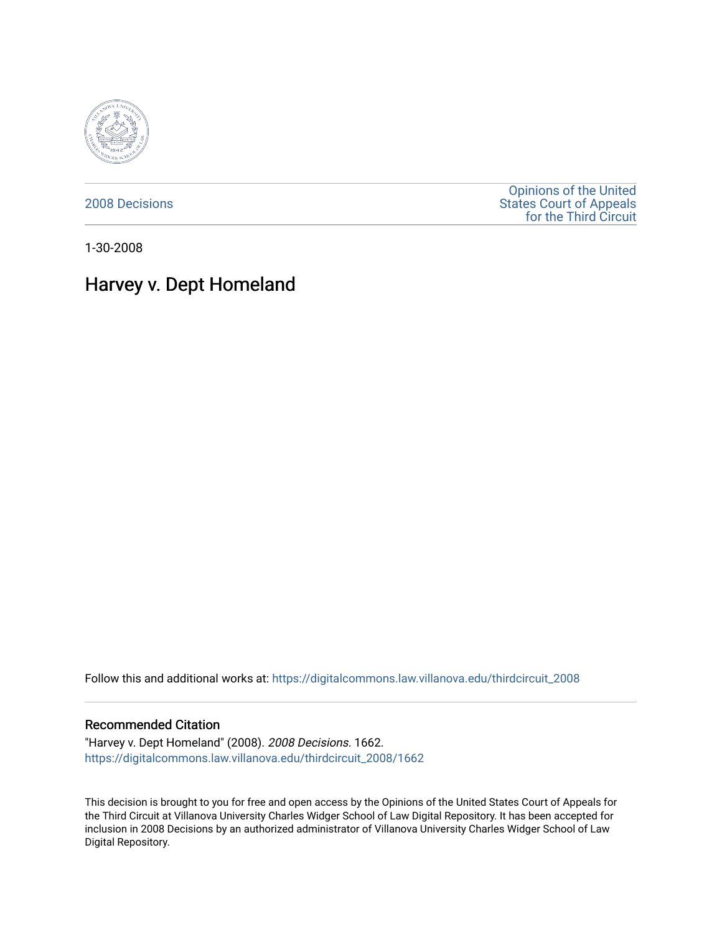

[2008 Decisions](https://digitalcommons.law.villanova.edu/thirdcircuit_2008)

[Opinions of the United](https://digitalcommons.law.villanova.edu/thirdcircuit)  [States Court of Appeals](https://digitalcommons.law.villanova.edu/thirdcircuit)  [for the Third Circuit](https://digitalcommons.law.villanova.edu/thirdcircuit) 

1-30-2008

# Harvey v. Dept Homeland

Follow this and additional works at: [https://digitalcommons.law.villanova.edu/thirdcircuit\\_2008](https://digitalcommons.law.villanova.edu/thirdcircuit_2008?utm_source=digitalcommons.law.villanova.edu%2Fthirdcircuit_2008%2F1662&utm_medium=PDF&utm_campaign=PDFCoverPages) 

#### Recommended Citation

"Harvey v. Dept Homeland" (2008). 2008 Decisions. 1662. [https://digitalcommons.law.villanova.edu/thirdcircuit\\_2008/1662](https://digitalcommons.law.villanova.edu/thirdcircuit_2008/1662?utm_source=digitalcommons.law.villanova.edu%2Fthirdcircuit_2008%2F1662&utm_medium=PDF&utm_campaign=PDFCoverPages) 

This decision is brought to you for free and open access by the Opinions of the United States Court of Appeals for the Third Circuit at Villanova University Charles Widger School of Law Digital Repository. It has been accepted for inclusion in 2008 Decisions by an authorized administrator of Villanova University Charles Widger School of Law Digital Repository.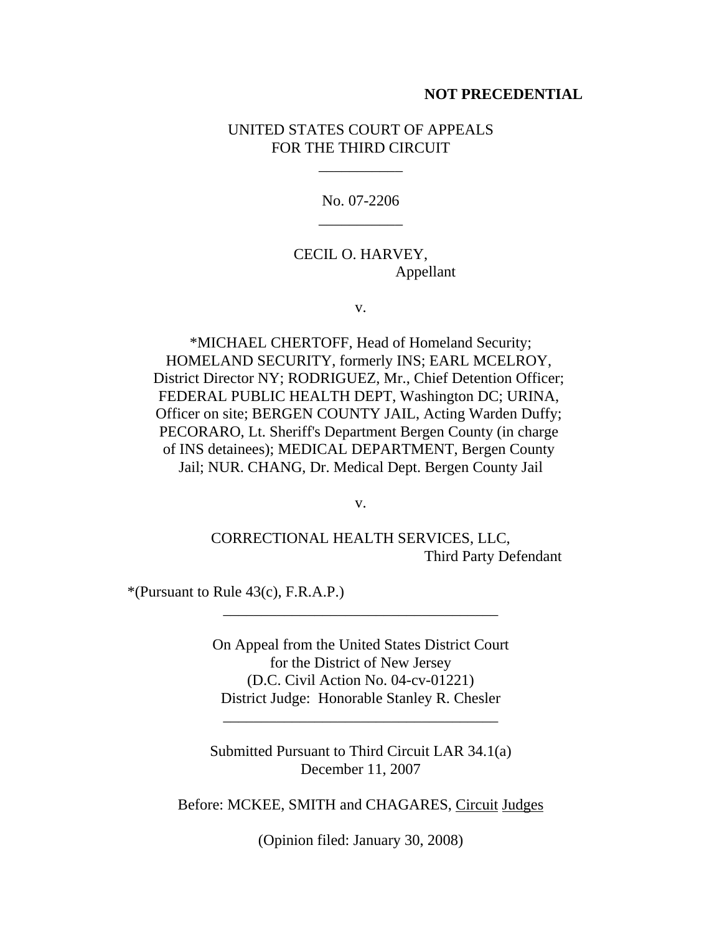#### **NOT PRECEDENTIAL**

## UNITED STATES COURT OF APPEALS FOR THE THIRD CIRCUIT

\_\_\_\_\_\_\_\_\_\_\_

No. 07-2206 \_\_\_\_\_\_\_\_\_\_\_

## CECIL O. HARVEY, Appellant

v.

\*MICHAEL CHERTOFF, Head of Homeland Security; HOMELAND SECURITY, formerly INS; EARL MCELROY, District Director NY; RODRIGUEZ, Mr., Chief Detention Officer; FEDERAL PUBLIC HEALTH DEPT, Washington DC; URINA, Officer on site; BERGEN COUNTY JAIL, Acting Warden Duffy; PECORARO, Lt. Sheriff's Department Bergen County (in charge of INS detainees); MEDICAL DEPARTMENT, Bergen County Jail; NUR. CHANG, Dr. Medical Dept. Bergen County Jail

v.

CORRECTIONAL HEALTH SERVICES, LLC, Third Party Defendant

 $*(Pursuant to Rule 43(c), F.R.A.P.)$ 

On Appeal from the United States District Court for the District of New Jersey (D.C. Civil Action No. 04-cv-01221) District Judge: Honorable Stanley R. Chesler

\_\_\_\_\_\_\_\_\_\_\_\_\_\_\_\_\_\_\_\_\_\_\_\_\_\_\_\_\_\_\_\_\_\_\_\_

\_\_\_\_\_\_\_\_\_\_\_\_\_\_\_\_\_\_\_\_\_\_\_\_\_\_\_\_\_\_\_\_\_\_\_\_

Submitted Pursuant to Third Circuit LAR 34.1(a) December 11, 2007

Before: MCKEE, SMITH and CHAGARES, Circuit Judges

(Opinion filed: January 30, 2008)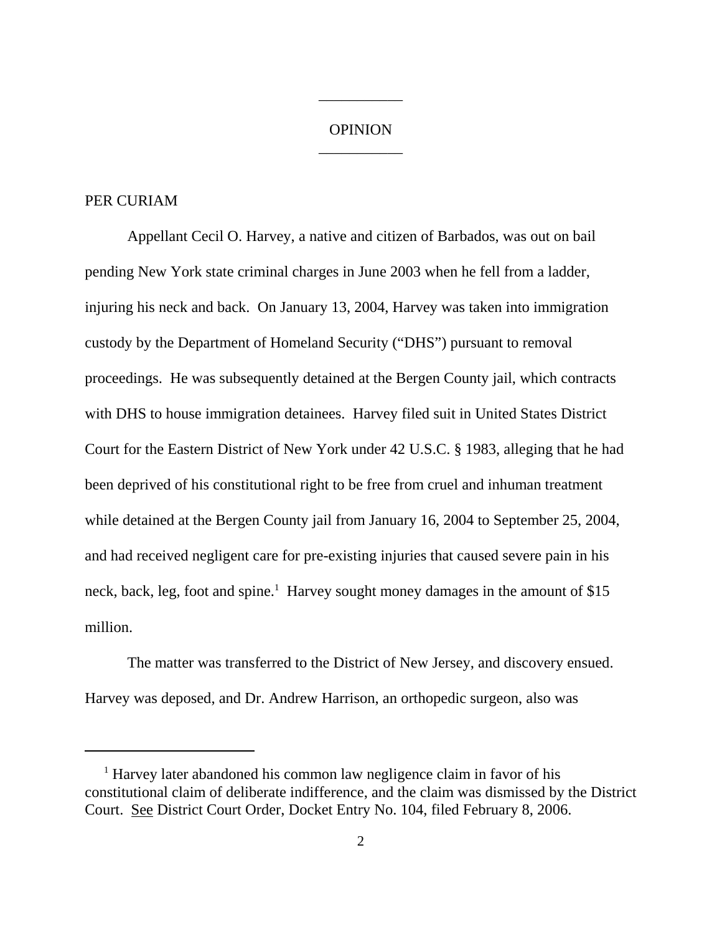## **OPINION** \_\_\_\_\_\_\_\_\_\_\_

\_\_\_\_\_\_\_\_\_\_\_

#### PER CURIAM

Appellant Cecil O. Harvey, a native and citizen of Barbados, was out on bail pending New York state criminal charges in June 2003 when he fell from a ladder, injuring his neck and back. On January 13, 2004, Harvey was taken into immigration custody by the Department of Homeland Security ("DHS") pursuant to removal proceedings. He was subsequently detained at the Bergen County jail, which contracts with DHS to house immigration detainees. Harvey filed suit in United States District Court for the Eastern District of New York under 42 U.S.C. § 1983, alleging that he had been deprived of his constitutional right to be free from cruel and inhuman treatment while detained at the Bergen County jail from January 16, 2004 to September 25, 2004, and had received negligent care for pre-existing injuries that caused severe pain in his neck, back, leg, foot and spine.<sup>1</sup> Harvey sought money damages in the amount of \$15 million.

The matter was transferred to the District of New Jersey, and discovery ensued. Harvey was deposed, and Dr. Andrew Harrison, an orthopedic surgeon, also was

<sup>&</sup>lt;sup>1</sup> Harvey later abandoned his common law negligence claim in favor of his constitutional claim of deliberate indifference, and the claim was dismissed by the District Court. See District Court Order, Docket Entry No. 104, filed February 8, 2006.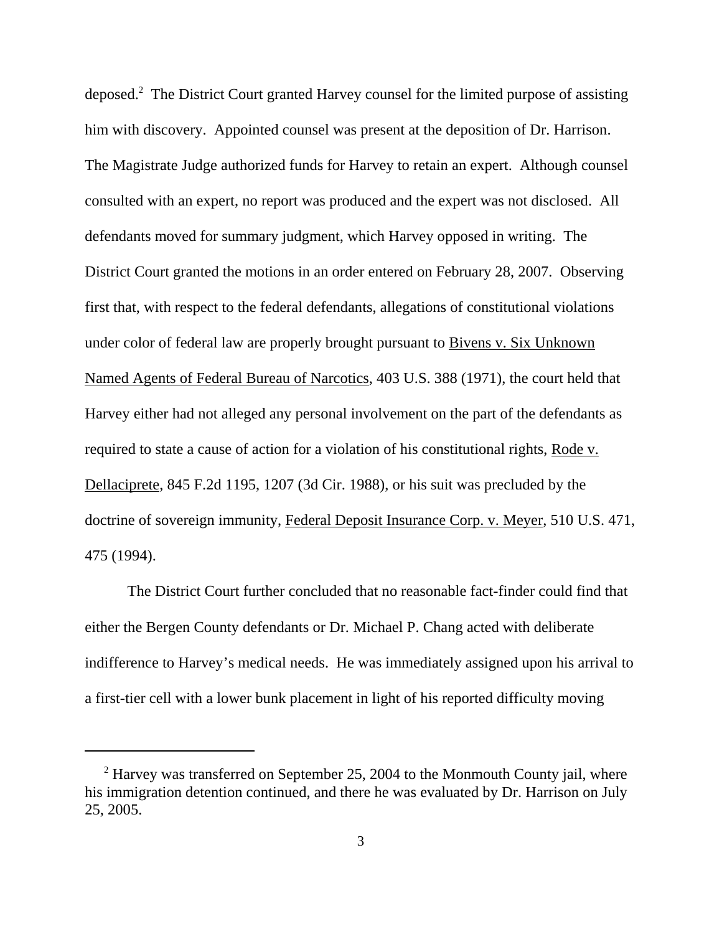deposed.<sup>2</sup> The District Court granted Harvey counsel for the limited purpose of assisting him with discovery. Appointed counsel was present at the deposition of Dr. Harrison. The Magistrate Judge authorized funds for Harvey to retain an expert. Although counsel consulted with an expert, no report was produced and the expert was not disclosed. All defendants moved for summary judgment, which Harvey opposed in writing. The District Court granted the motions in an order entered on February 28, 2007. Observing first that, with respect to the federal defendants, allegations of constitutional violations under color of federal law are properly brought pursuant to Bivens v. Six Unknown Named Agents of Federal Bureau of Narcotics, 403 U.S. 388 (1971), the court held that Harvey either had not alleged any personal involvement on the part of the defendants as required to state a cause of action for a violation of his constitutional rights, Rode v. Dellaciprete, 845 F.2d 1195, 1207 (3d Cir. 1988), or his suit was precluded by the doctrine of sovereign immunity, Federal Deposit Insurance Corp. v. Meyer, 510 U.S. 471, 475 (1994).

The District Court further concluded that no reasonable fact-finder could find that either the Bergen County defendants or Dr. Michael P. Chang acted with deliberate indifference to Harvey's medical needs. He was immediately assigned upon his arrival to a first-tier cell with a lower bunk placement in light of his reported difficulty moving

<sup>&</sup>lt;sup>2</sup> Harvey was transferred on September 25, 2004 to the Monmouth County jail, where his immigration detention continued, and there he was evaluated by Dr. Harrison on July 25, 2005.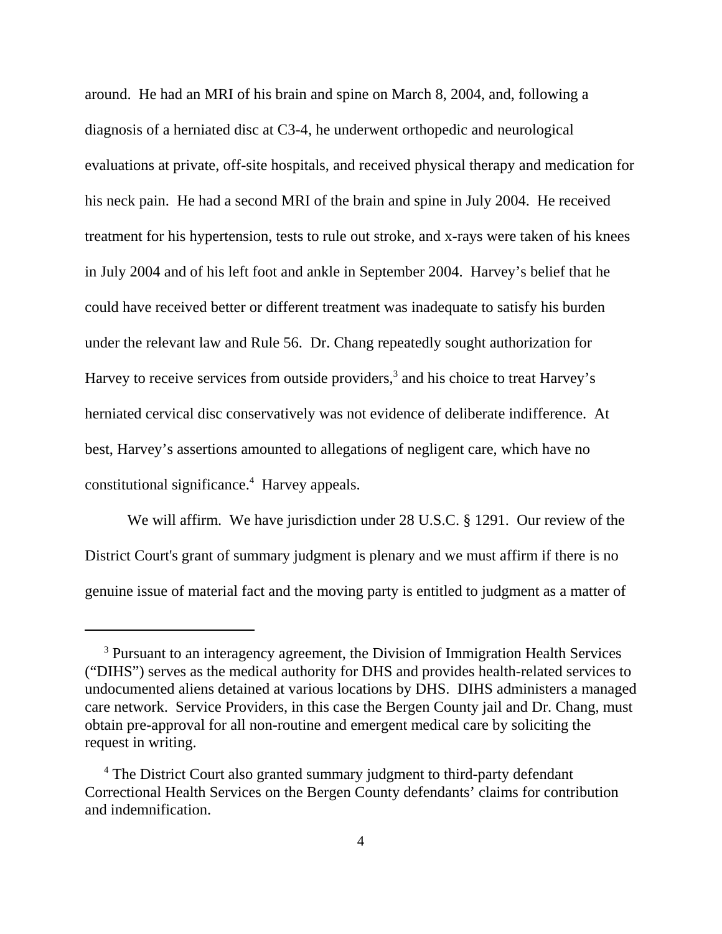around. He had an MRI of his brain and spine on March 8, 2004, and, following a diagnosis of a herniated disc at C3-4, he underwent orthopedic and neurological evaluations at private, off-site hospitals, and received physical therapy and medication for his neck pain. He had a second MRI of the brain and spine in July 2004. He received treatment for his hypertension, tests to rule out stroke, and x-rays were taken of his knees in July 2004 and of his left foot and ankle in September 2004. Harvey's belief that he could have received better or different treatment was inadequate to satisfy his burden under the relevant law and Rule 56. Dr. Chang repeatedly sought authorization for Harvey to receive services from outside providers,<sup>3</sup> and his choice to treat Harvey's herniated cervical disc conservatively was not evidence of deliberate indifference. At best, Harvey's assertions amounted to allegations of negligent care, which have no constitutional significance.<sup>4</sup> Harvey appeals.

We will affirm. We have jurisdiction under 28 U.S.C. § 1291. Our review of the District Court's grant of summary judgment is plenary and we must affirm if there is no genuine issue of material fact and the moving party is entitled to judgment as a matter of

<sup>&</sup>lt;sup>3</sup> Pursuant to an interagency agreement, the Division of Immigration Health Services ("DIHS") serves as the medical authority for DHS and provides health-related services to undocumented aliens detained at various locations by DHS. DIHS administers a managed care network. Service Providers, in this case the Bergen County jail and Dr. Chang, must obtain pre-approval for all non-routine and emergent medical care by soliciting the request in writing.

<sup>&</sup>lt;sup>4</sup> The District Court also granted summary judgment to third-party defendant Correctional Health Services on the Bergen County defendants' claims for contribution and indemnification.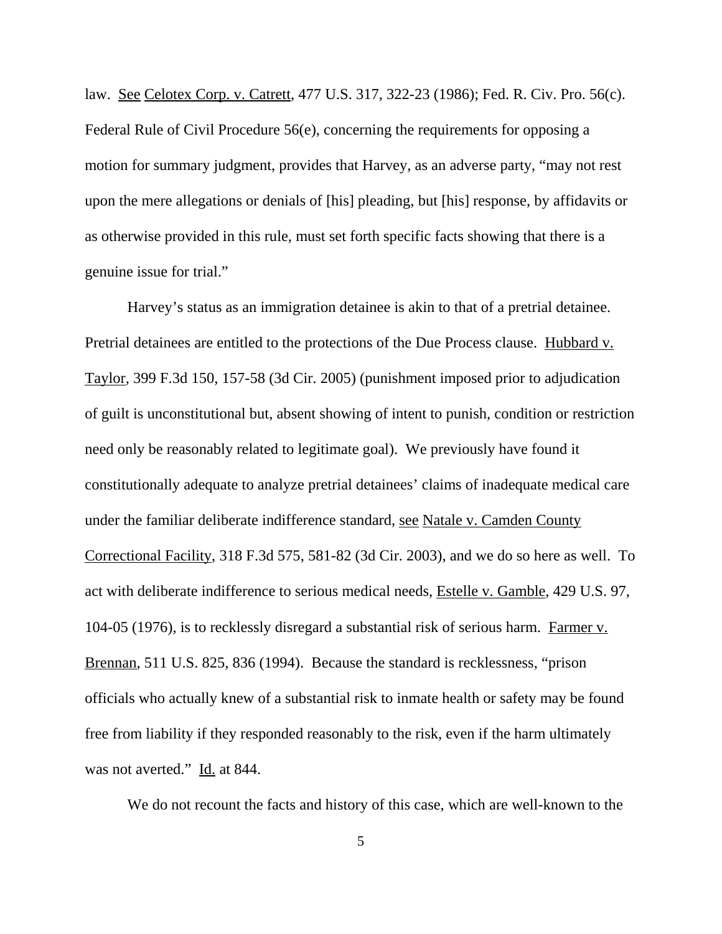law. See Celotex Corp. v. Catrett, 477 U.S. 317, 322-23 (1986); Fed. R. Civ. Pro. 56(c). Federal Rule of Civil Procedure 56(e), concerning the requirements for opposing a motion for summary judgment, provides that Harvey, as an adverse party, "may not rest upon the mere allegations or denials of [his] pleading, but [his] response, by affidavits or as otherwise provided in this rule, must set forth specific facts showing that there is a genuine issue for trial."

Harvey's status as an immigration detainee is akin to that of a pretrial detainee. Pretrial detainees are entitled to the protections of the Due Process clause. Hubbard v. Taylor, 399 F.3d 150, 157-58 (3d Cir. 2005) (punishment imposed prior to adjudication of guilt is unconstitutional but, absent showing of intent to punish, condition or restriction need only be reasonably related to legitimate goal). We previously have found it constitutionally adequate to analyze pretrial detainees' claims of inadequate medical care under the familiar deliberate indifference standard, see Natale v. Camden County Correctional Facility, 318 F.3d 575, 581-82 (3d Cir. 2003), and we do so here as well. To act with deliberate indifference to serious medical needs, Estelle v. Gamble, 429 U.S. 97, 104-05 (1976), is to recklessly disregard a substantial risk of serious harm. Farmer v. Brennan, 511 U.S. 825, 836 (1994). Because the standard is recklessness, "prison officials who actually knew of a substantial risk to inmate health or safety may be found free from liability if they responded reasonably to the risk, even if the harm ultimately was not averted." Id. at 844.

We do not recount the facts and history of this case, which are well-known to the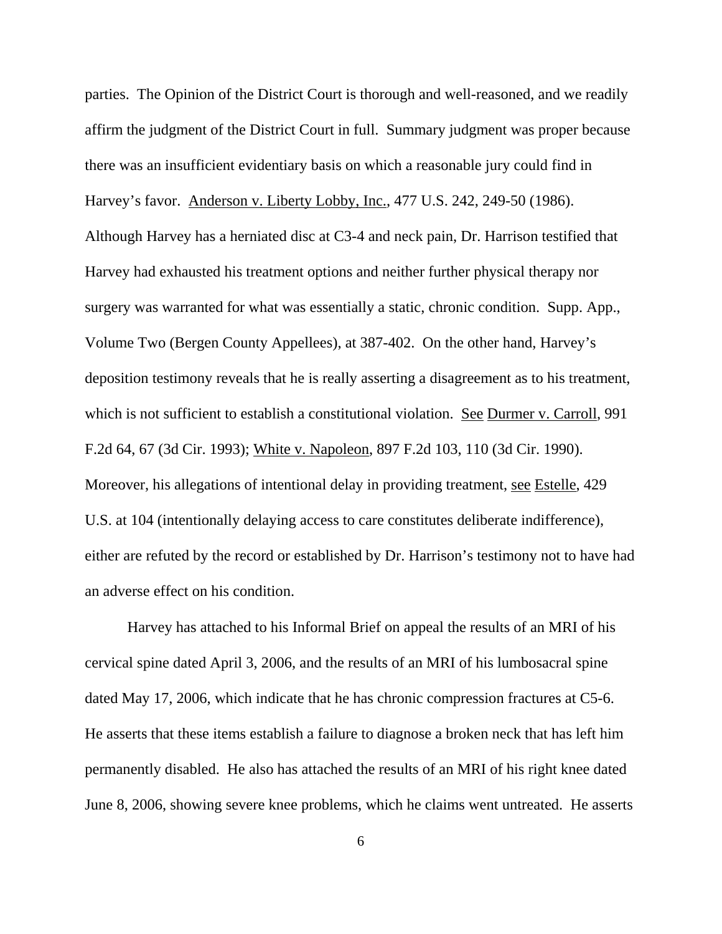parties. The Opinion of the District Court is thorough and well-reasoned, and we readily affirm the judgment of the District Court in full. Summary judgment was proper because there was an insufficient evidentiary basis on which a reasonable jury could find in Harvey's favor. Anderson v. Liberty Lobby, Inc., 477 U.S. 242, 249-50 (1986). Although Harvey has a herniated disc at C3-4 and neck pain, Dr. Harrison testified that Harvey had exhausted his treatment options and neither further physical therapy nor surgery was warranted for what was essentially a static, chronic condition. Supp. App., Volume Two (Bergen County Appellees), at 387-402. On the other hand, Harvey's deposition testimony reveals that he is really asserting a disagreement as to his treatment, which is not sufficient to establish a constitutional violation. See Durmer v. Carroll, 991 F.2d 64, 67 (3d Cir. 1993); White v. Napoleon, 897 F.2d 103, 110 (3d Cir. 1990). Moreover, his allegations of intentional delay in providing treatment, see Estelle, 429 U.S. at 104 (intentionally delaying access to care constitutes deliberate indifference), either are refuted by the record or established by Dr. Harrison's testimony not to have had an adverse effect on his condition.

Harvey has attached to his Informal Brief on appeal the results of an MRI of his cervical spine dated April 3, 2006, and the results of an MRI of his lumbosacral spine dated May 17, 2006, which indicate that he has chronic compression fractures at C5-6. He asserts that these items establish a failure to diagnose a broken neck that has left him permanently disabled. He also has attached the results of an MRI of his right knee dated June 8, 2006, showing severe knee problems, which he claims went untreated. He asserts